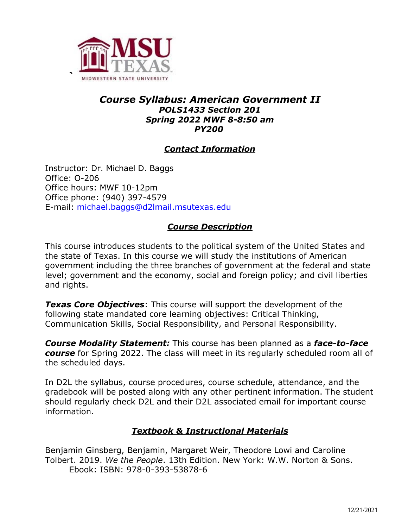

#### *Course Syllabus: American Government II POLS1433 Section 201 Spring 2022 MWF 8-8:50 am PY200*

## *Contact Information*

Instructor: Dr. Michael D. Baggs Office: O-206 Office hours: MWF 10-12pm Office phone: (940) 397-4579 E-mail: [michael.baggs@d2lmail.msutexas.edu](mailto:michael.baggs@d2lmail.msutexas.edu) 

## *Course Description*

This course introduces students to the political system of the United States and the state of Texas. In this course we will study the institutions of American government including the three branches of government at the federal and state level; government and the economy, social and foreign policy; and civil liberties and rights.

*Texas Core Objectives*: This course will support the development of the following state mandated core learning objectives: Critical Thinking, Communication Skills, Social Responsibility, and Personal Responsibility.

*Course Modality Statement:* This course has been planned as a *face-to-face course* for Spring 2022. The class will meet in its regularly scheduled room all of the scheduled days.

In D2L the syllabus, course procedures, course schedule, attendance, and the gradebook will be posted along with any other pertinent information. The student should regularly check D2L and their D2L associated email for important course information.

## *Textbook & Instructional Materials*

Benjamin Ginsberg, Benjamin, Margaret Weir, Theodore Lowi and Caroline Tolbert. 2019. *We the People*. 13th Edition. New York: W.W. Norton & Sons. Ebook: ISBN: 978-0-393-53878-6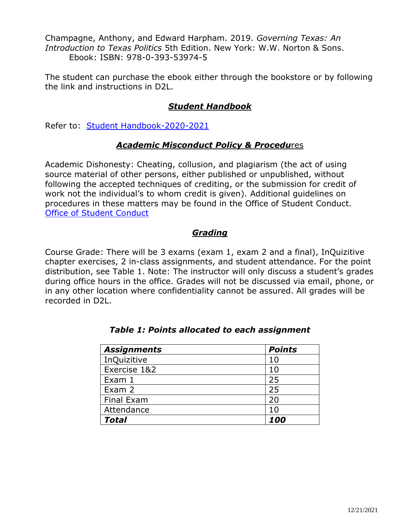Champagne, Anthony, and Edward Harpham. 2019. *Governing Texas: An Introduction to Texas Politics* 5th Edition. New York: W.W. Norton & Sons. Ebook: ISBN: 978-0-393-53974-5

The student can purchase the ebook either through the bookstore or by following the link and instructions in D2L.

# *Student Handbook*

Refer to: [Student Handbook-2020-2021](https://mwsu.edu/student-life/conduct/_assets/files/student-handbook-2017-18.pdf)

#### *Academic Misconduct Policy & Procedu*res

Academic Dishonesty: Cheating, collusion, and plagiarism (the act of using source material of other persons, either published or unpublished, without following the accepted techniques of crediting, or the submission for credit of work not the individual's to whom credit is given). Additional guidelines on procedures in these matters may be found in the Office of Student Conduct. [Office of Student Conduct](https://mwsu.edu/student-life/conduct/)

#### *Grading*

Course Grade: There will be 3 exams (exam 1, exam 2 and a final), InQuizitive chapter exercises, 2 in-class assignments, and student attendance. For the point distribution, see Table 1. Note: The instructor will only discuss a student's grades during office hours in the office. Grades will not be discussed via email, phone, or in any other location where confidentiality cannot be assured. All grades will be recorded in D2L.

| <b>Assignments</b> | <b>Points</b> |
|--------------------|---------------|
| InQuizitive        | 10            |
| Exercise 1&2       | 10            |
| Exam 1             | 25            |
| Exam 2             | 25            |
| Final Exam         | 20            |
| Attendance         | 10            |
| <b>Total</b>       | 100           |

#### *Table 1: Points allocated to each assignment*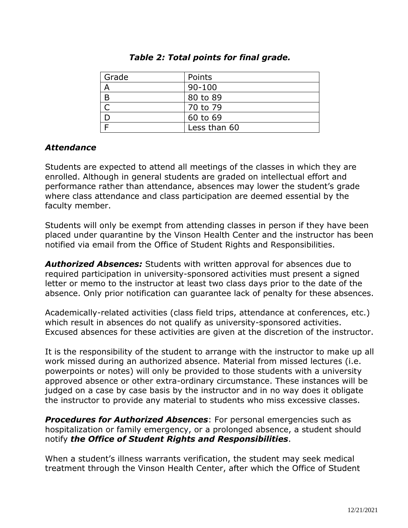| Grade | Points       |
|-------|--------------|
|       | $90 - 100$   |
| B     | 80 to 89     |
|       | 70 to 79     |
|       | 60 to 69     |
|       | Less than 60 |

#### *Table 2: Total points for final grade.*

#### *Attendance*

Students are expected to attend all meetings of the classes in which they are enrolled. Although in general students are graded on intellectual effort and performance rather than attendance, absences may lower the student's grade where class attendance and class participation are deemed essential by the faculty member.

Students will only be exempt from attending classes in person if they have been placed under quarantine by the Vinson Health Center and the instructor has been notified via email from the Office of Student Rights and Responsibilities.

*Authorized Absences:* Students with written approval for absences due to required participation in university-sponsored activities must present a signed letter or memo to the instructor at least two class days prior to the date of the absence. Only prior notification can guarantee lack of penalty for these absences.

Academically-related activities (class field trips, attendance at conferences, etc.) which result in absences do not qualify as university-sponsored activities. Excused absences for these activities are given at the discretion of the instructor.

It is the responsibility of the student to arrange with the instructor to make up all work missed during an authorized absence. Material from missed lectures (i.e. powerpoints or notes) will only be provided to those students with a university approved absence or other extra-ordinary circumstance. These instances will be judged on a case by case basis by the instructor and in no way does it obligate the instructor to provide any material to students who miss excessive classes.

*Procedures for Authorized Absences*: For personal emergencies such as hospitalization or family emergency, or a prolonged absence, a student should notify *the Office of Student Rights and Responsibilities*.

When a student's illness warrants verification, the student may seek medical treatment through the Vinson Health Center, after which the Office of Student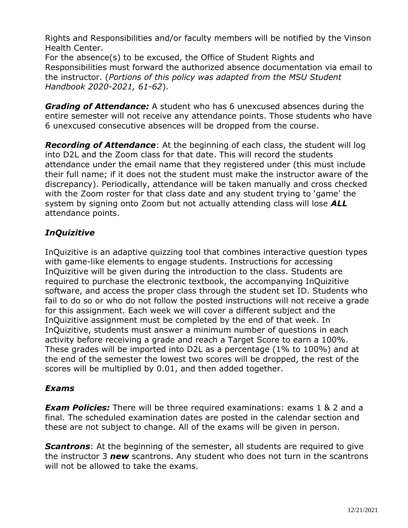Rights and Responsibilities and/or faculty members will be notified by the Vinson Health Center.

For the absence(s) to be excused, the Office of Student Rights and Responsibilities must forward the authorized absence documentation via email to the instructor. (*Portions of this policy was adapted from the MSU Student Handbook 2020-2021, 61-62*).

*Grading of Attendance:* A student who has 6 unexcused absences during the entire semester will not receive any attendance points. Those students who have 6 unexcused consecutive absences will be dropped from the course.

*Recording of Attendance*: At the beginning of each class, the student will log into D2L and the Zoom class for that date. This will record the students attendance under the email name that they registered under (this must include their full name; if it does not the student must make the instructor aware of the discrepancy). Periodically, attendance will be taken manually and cross checked with the Zoom roster for that class date and any student trying to 'game' the system by signing onto Zoom but not actually attending class will lose *ALL* attendance points.

# *InQuizitive*

InQuizitive is an adaptive quizzing tool that combines interactive question types with game-like elements to engage students. Instructions for accessing InQuizitive will be given during the introduction to the class. Students are required to purchase the electronic textbook, the accompanying InQuizitive software, and access the proper class through the student set ID. Students who fail to do so or who do not follow the posted instructions will not receive a grade for this assignment. Each week we will cover a different subject and the InQuizitive assignment must be completed by the end of that week. In InQuizitive, students must answer a minimum number of questions in each activity before receiving a grade and reach a Target Score to earn a 100%. These grades will be imported into D2L as a percentage (1% to 100%) and at the end of the semester the lowest two scores will be dropped, the rest of the scores will be multiplied by 0.01, and then added together.

# *Exams*

*Exam Policies:* There will be three required examinations: exams 1 & 2 and a final. The scheduled examination dates are posted in the calendar section and these are not subject to change. All of the exams will be given in person.

**Scantrons**: At the beginning of the semester, all students are required to give the instructor 3 *new* scantrons. Any student who does not turn in the scantrons will not be allowed to take the exams.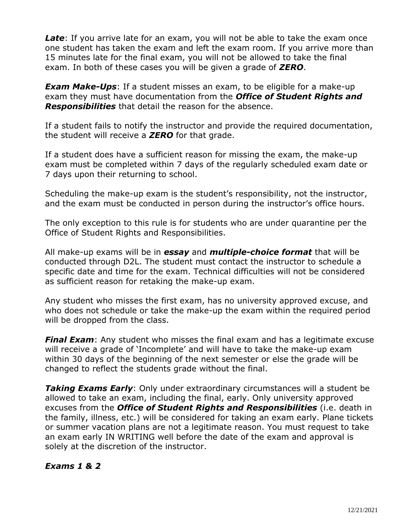*Late*: If you arrive late for an exam, you will not be able to take the exam once one student has taken the exam and left the exam room. If you arrive more than 15 minutes late for the final exam, you will not be allowed to take the final exam. In both of these cases you will be given a grade of *ZERO*.

*Exam Make-Ups*: If a student misses an exam, to be eligible for a make-up exam they must have documentation from the *Office of Student Rights and Responsibilities* that detail the reason for the absence.

If a student fails to notify the instructor and provide the required documentation, the student will receive a *ZERO* for that grade.

If a student does have a sufficient reason for missing the exam, the make-up exam must be completed within 7 days of the regularly scheduled exam date or 7 days upon their returning to school.

Scheduling the make-up exam is the student's responsibility, not the instructor, and the exam must be conducted in person during the instructor's office hours.

The only exception to this rule is for students who are under quarantine per the Office of Student Rights and Responsibilities.

All make-up exams will be in *essay* and *multiple-choice format* that will be conducted through D2L. The student must contact the instructor to schedule a specific date and time for the exam. Technical difficulties will not be considered as sufficient reason for retaking the make-up exam.

Any student who misses the first exam, has no university approved excuse, and who does not schedule or take the make-up the exam within the required period will be dropped from the class.

*Final Exam*: Any student who misses the final exam and has a legitimate excuse will receive a grade of 'Incomplete' and will have to take the make-up exam within 30 days of the beginning of the next semester or else the grade will be changed to reflect the students grade without the final.

*Taking Exams Early*: Only under extraordinary circumstances will a student be allowed to take an exam, including the final, early. Only university approved excuses from the *Office of Student Rights and Responsibilities* (i.e. death in the family, illness, etc.) will be considered for taking an exam early. Plane tickets or summer vacation plans are not a legitimate reason. You must request to take an exam early IN WRITING well before the date of the exam and approval is solely at the discretion of the instructor.

## *Exams 1 & 2*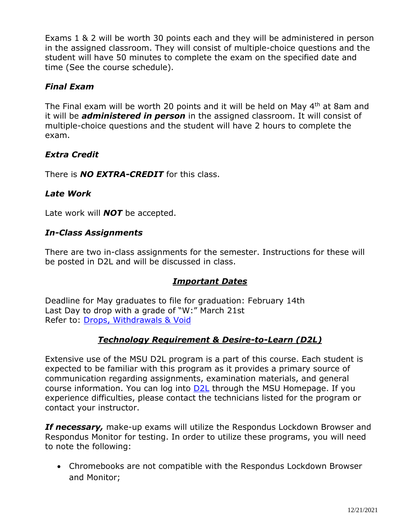Exams 1 & 2 will be worth 30 points each and they will be administered in person in the assigned classroom. They will consist of multiple-choice questions and the student will have 50 minutes to complete the exam on the specified date and time (See the course schedule).

# *Final Exam*

The Final exam will be worth 20 points and it will be held on May 4<sup>th</sup> at 8am and it will be *administered in person* in the assigned classroom. It will consist of multiple-choice questions and the student will have 2 hours to complete the exam.

## *Extra Credit*

There is *NO EXTRA-CREDIT* for this class.

## *Late Work*

Late work will *NOT* be accepted.

# *In-Class Assignments*

There are two in-class assignments for the semester. Instructions for these will be posted in D2L and will be discussed in class.

## *Important Dates*

Deadline for May graduates to file for graduation: February 14th Last Day to drop with a grade of "W:" March 21st Refer to: [Drops, Withdrawals & Void](https://mwsu.edu/student-life/development/learning/index)

## *Technology Requirement & Desire-to-Learn (D2L)*

Extensive use of the MSU D2L program is a part of this course. Each student is expected to be familiar with this program as it provides a primary source of communication regarding assignments, examination materials, and general course information. You can log into **D2L** through the MSU Homepage. If you experience difficulties, please contact the technicians listed for the program or contact your instructor.

*If necessary,* make-up exams will utilize the Respondus Lockdown Browser and Respondus Monitor for testing. In order to utilize these programs, you will need to note the following:

• Chromebooks are not compatible with the Respondus Lockdown Browser and Monitor;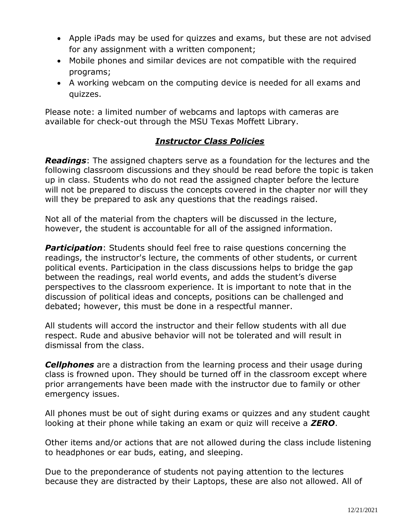- Apple iPads may be used for quizzes and exams, but these are not advised for any assignment with a written component;
- Mobile phones and similar devices are not compatible with the required programs;
- A working webcam on the computing device is needed for all exams and quizzes.

Please note: a limited number of webcams and laptops with cameras are available for check-out through the MSU Texas Moffett Library.

## *Instructor Class Policies*

*Readings*: The assigned chapters serve as a foundation for the lectures and the following classroom discussions and they should be read before the topic is taken up in class. Students who do not read the assigned chapter before the lecture will not be prepared to discuss the concepts covered in the chapter nor will they will they be prepared to ask any questions that the readings raised.

Not all of the material from the chapters will be discussed in the lecture, however, the student is accountable for all of the assigned information.

**Participation**: Students should feel free to raise questions concerning the readings, the instructor's lecture, the comments of other students, or current political events. Participation in the class discussions helps to bridge the gap between the readings, real world events, and adds the student's diverse perspectives to the classroom experience. It is important to note that in the discussion of political ideas and concepts, positions can be challenged and debated; however, this must be done in a respectful manner.

All students will accord the instructor and their fellow students with all due respect. Rude and abusive behavior will not be tolerated and will result in dismissal from the class.

*Cellphones* are a distraction from the learning process and their usage during class is frowned upon. They should be turned off in the classroom except where prior arrangements have been made with the instructor due to family or other emergency issues.

All phones must be out of sight during exams or quizzes and any student caught looking at their phone while taking an exam or quiz will receive a *ZERO*.

Other items and/or actions that are not allowed during the class include listening to headphones or ear buds, eating, and sleeping.

Due to the preponderance of students not paying attention to the lectures because they are distracted by their Laptops, these are also not allowed. All of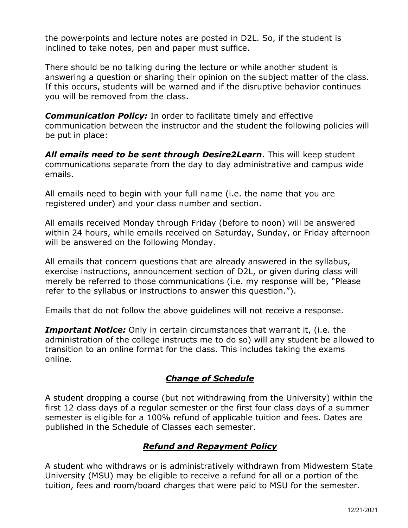the powerpoints and lecture notes are posted in D2L. So, if the student is inclined to take notes, pen and paper must suffice.

There should be no talking during the lecture or while another student is answering a question or sharing their opinion on the subject matter of the class. If this occurs, students will be warned and if the disruptive behavior continues you will be removed from the class.

*Communication Policy:* In order to facilitate timely and effective communication between the instructor and the student the following policies will be put in place:

*All emails need to be sent through Desire2Learn*. This will keep student communications separate from the day to day administrative and campus wide emails.

All emails need to begin with your full name (i.e. the name that you are registered under) and your class number and section.

All emails received Monday through Friday (before to noon) will be answered within 24 hours, while emails received on Saturday, Sunday, or Friday afternoon will be answered on the following Monday.

All emails that concern questions that are already answered in the syllabus, exercise instructions, announcement section of D2L, or given during class will merely be referred to those communications (i.e. my response will be, "Please refer to the syllabus or instructions to answer this question.").

Emails that do not follow the above guidelines will not receive a response.

*Important Notice:* Only in certain circumstances that warrant it, (i.e. the administration of the college instructs me to do so) will any student be allowed to transition to an online format for the class. This includes taking the exams online.

## *Change of Schedule*

A student dropping a course (but not withdrawing from the University) within the first 12 class days of a regular semester or the first four class days of a summer semester is eligible for a 100% refund of applicable tuition and fees. Dates are published in the Schedule of Classes each semester.

## *Refund and Repayment Policy*

A student who withdraws or is administratively withdrawn from Midwestern State University (MSU) may be eligible to receive a refund for all or a portion of the tuition, fees and room/board charges that were paid to MSU for the semester.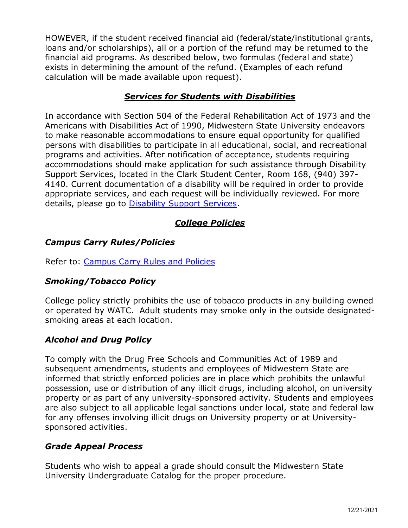HOWEVER, if the student received financial aid (federal/state/institutional grants, loans and/or scholarships), all or a portion of the refund may be returned to the financial aid programs. As described below, two formulas (federal and state) exists in determining the amount of the refund. (Examples of each refund calculation will be made available upon request).

#### *Services for Students with Disabilities*

In accordance with Section 504 of the Federal Rehabilitation Act of 1973 and the Americans with Disabilities Act of 1990, Midwestern State University endeavors to make reasonable accommodations to ensure equal opportunity for qualified persons with disabilities to participate in all educational, social, and recreational programs and activities. After notification of acceptance, students requiring accommodations should make application for such assistance through Disability Support Services, located in the Clark Student Center, Room 168, (940) 397- 4140. Current documentation of a disability will be required in order to provide appropriate services, and each request will be individually reviewed. For more details, please go to **Disability Support Services**.

# *College Policies*

## *Campus Carry Rules/Policies*

Refer to: [Campus Carry Rules and Policies](https://mwsu.edu/campus-carry/rules-policies)

## *Smoking/Tobacco Policy*

College policy strictly prohibits the use of tobacco products in any building owned or operated by WATC. Adult students may smoke only in the outside designatedsmoking areas at each location.

## *Alcohol and Drug Policy*

To comply with the Drug Free Schools and Communities Act of 1989 and subsequent amendments, students and employees of Midwestern State are informed that strictly enforced policies are in place which prohibits the unlawful possession, use or distribution of any illicit drugs, including alcohol, on university property or as part of any university-sponsored activity. Students and employees are also subject to all applicable legal sanctions under local, state and federal law for any offenses involving illicit drugs on University property or at Universitysponsored activities.

## *Grade Appeal Process*

Students who wish to appeal a grade should consult the Midwestern State University Undergraduate Catalog for the proper procedure.